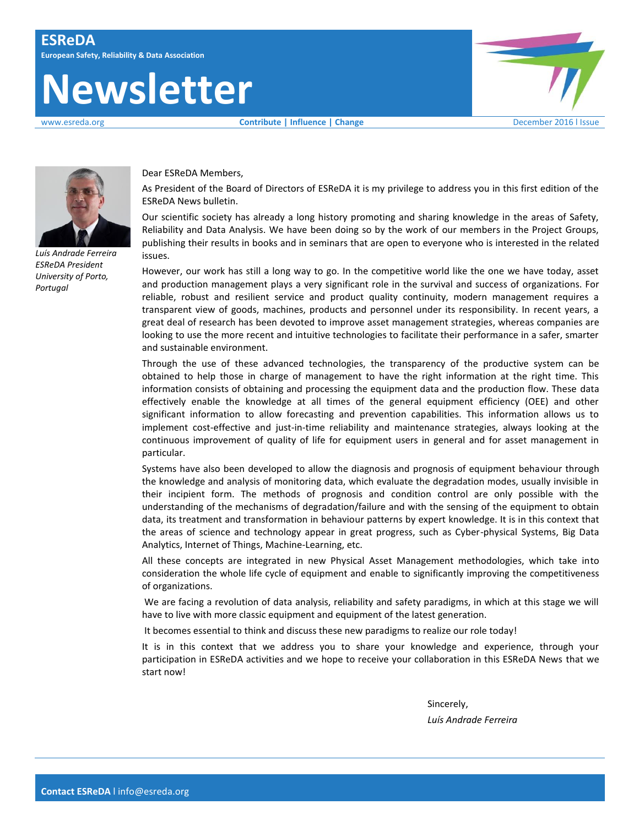# **Newsletter**





*Luís Andrade Ferreira ESReDA President University of Porto, Portugal*

Dear ESReDA Members,

As President of the Board of Directors of ESReDA it is my privilege to address you in this first edition of the ESReDA News bulletin.

Our scientific society has already a long history promoting and sharing knowledge in the areas of Safety, Reliability and Data Analysis. We have been doing so by the work of our members in the Project Groups, publishing their results in books and in seminars that are open to everyone who is interested in the related issues.

However, our work has still a long way to go. In the competitive world like the one we have today, asset and production management plays a very significant role in the survival and success of organizations. For reliable, robust and resilient service and product quality continuity, modern management requires a transparent view of goods, machines, products and personnel under its responsibility. In recent years, a great deal of research has been devoted to improve asset management strategies, whereas companies are looking to use the more recent and intuitive technologies to facilitate their performance in a safer, smarter and sustainable environment.

Through the use of these advanced technologies, the transparency of the productive system can be obtained to help those in charge of management to have the right information at the right time. This information consists of obtaining and processing the equipment data and the production flow. These data effectively enable the knowledge at all times of the general equipment efficiency (OEE) and other significant information to allow forecasting and prevention capabilities. This information allows us to implement cost-effective and just-in-time reliability and maintenance strategies, always looking at the continuous improvement of quality of life for equipment users in general and for asset management in particular.

Systems have also been developed to allow the diagnosis and prognosis of equipment behaviour through the knowledge and analysis of monitoring data, which evaluate the degradation modes, usually invisible in their incipient form. The methods of prognosis and condition control are only possible with the understanding of the mechanisms of degradation/failure and with the sensing of the equipment to obtain data, its treatment and transformation in behaviour patterns by expert knowledge. It is in this context that the areas of science and technology appear in great progress, such as Cyber-physical Systems, Big Data Analytics, Internet of Things, Machine-Learning, etc.

All these concepts are integrated in new Physical Asset Management methodologies, which take into consideration the whole life cycle of equipment and enable to significantly improving the competitiveness of organizations.

We are facing a revolution of data analysis, reliability and safety paradigms, in which at this stage we will have to live with more classic equipment and equipment of the latest generation.

It becomes essential to think and discuss these new paradigms to realize our role today!

It is in this context that we address you to share your knowledge and experience, through your participation in ESReDA activities and we hope to receive your collaboration in this ESReDA News that we start now!

> Sincerely, *Luís Andrade Ferreira*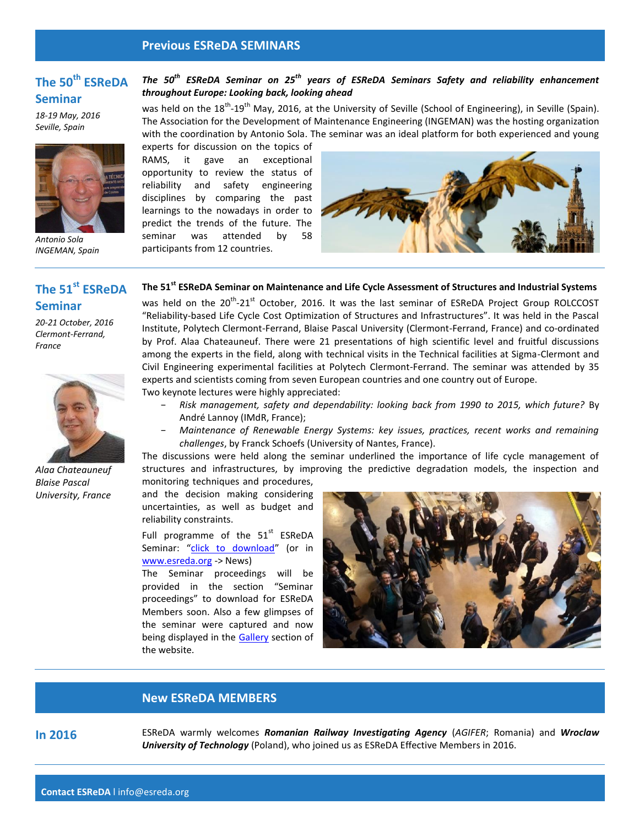#### **Previous ESReDA SEMINARS**

# **The 50th ESReDA Seminar**

*18-19 May, 2016 Seville, Spain*



**The 51st ESReDA** 

*20-21 October, 2016 Clermont-Ferrand,* 

*Alaa Chateauneuf Blaise Pascal University, France*

*Antonio Sola INGEMAN, Spain*

**Seminar**

*France*

## *The 50th ESReDA Seminar on 25th years of ESReDA Seminars Safety and reliability enhancement throughout Europe: Looking back, looking ahead*

was held on the 18<sup>th</sup>-19<sup>th</sup> May, 2016, at the University of Seville (School of Engineering), in Seville (Spain). The Association for the Development of Maintenance Engineering (INGEMAN) was the hosting organization with the coordination by Antonio Sola. The seminar was an ideal platform for both experienced and young

experts for discussion on the topics of RAMS, it gave an exceptional opportunity to review the status of reliability and safety engineering disciplines by comparing the past learnings to the nowadays in order to predict the trends of the future. The seminar was attended by 58 participants from 12 countries.



#### **The 51st ESReDA Seminar on Maintenance and Life Cycle Assessment of Structures and Industrial Systems**

was held on the 20<sup>th</sup>-21<sup>st</sup> October, 2016. It was the last seminar of ESReDA Project Group ROLCCOST "Reliability-based Life Cycle Cost Optimization of Structures and Infrastructures". It was held in the Pascal Institute, Polytech Clermont-Ferrand, Blaise Pascal University (Clermont-Ferrand, France) and co-ordinated by Prof. Alaa Chateauneuf. There were 21 presentations of high scientific level and fruitful discussions among the experts in the field, along with technical visits in the Technical facilities at Sigma-Clermont and Civil Engineering experimental facilities at Polytech Clermont-Ferrand. The seminar was attended by 35 experts and scientists coming from seven European countries and one country out of Europe.

Two keynote lectures were highly appreciated:

- − *Risk management, safety and dependability: looking back from 1990 to 2015, which future?* By André Lannoy (IMdR, France);
- − *Maintenance of Renewable Energy Systems: key issues, practices, recent works and remaining challenges*, by Franck Schoefs (University of Nantes, France).

The discussions were held along the seminar underlined the importance of life cycle management of structures and infrastructures, by improving the predictive degradation models, the inspection and monitoring techniques and procedures,

and the decision making considering uncertainties, as well as budget and reliability constraints.

Full programme of the  $51<sup>st</sup>$  ESReDA Seminar: "[click to download](http://www.esreda.org/wp-content/uploads/2016/11/51st-ESReDA-Seminar_program_Final.pdf)" (or in [www.esreda.org](http://www.esreda.org/) -> News)

The Seminar proceedings will be provided in the section "Seminar proceedings" to download for ESReDA Members soon. Also a few glimpses of the seminar were captured and now being displayed in the [Gallery](http://www.esreda.org/gallery/) section of the website.



#### **New ESReDA MEMBERS**

**In 2016** ESReDA warmly welcomes *Romanian Railway Investigating Agency* (*AGIFER*; Romania) and *Wroclaw University of Technology* (Poland), who joined us as ESReDA Effective Members in 2016.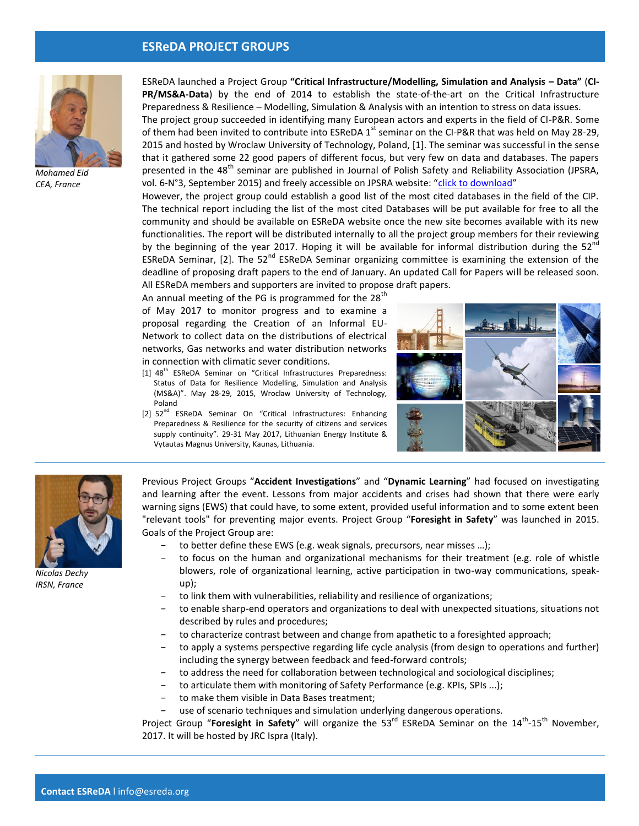#### **ESReDA PROJECT GROUPS**



*Mohamed Eid CEA, France*

ESReDA launched a Project Group **"Critical Infrastructure/Modelling, Simulation and Analysis – Data"** (**CI-PR/MS&A-Data**) by the end of 2014 to establish the state-of-the-art on the Critical Infrastructure Preparedness & Resilience – Modelling, Simulation & Analysis with an intention to stress on data issues.

The project group succeeded in identifying many European actors and experts in the field of CI-P&R. Some of them had been invited to contribute into ESReDA  $1^{st}$  seminar on the CI-P&R that was held on May 28-29, 2015 and hosted by Wroclaw University of Technology, Poland, [1]. The seminar was successful in the sense that it gathered some 22 good papers of different focus, but very few on data and databases. The papers presented in the 48<sup>th</sup> seminar are published in Journal of Polish Safety and Reliability Association (JPSRA, vol. 6-N°3, September 2015) and freely accessible on JPSRA website: "[click to download](http://jpsra.am.gdynia.pl/archives/jpsra-2015-vol-6-n-3/)"

However, the project group could establish a good list of the most cited databases in the field of the CIP. The technical report including the list of the most cited Databases will be put available for free to all the community and should be available on ESReDA website once the new site becomes available with its new functionalities. The report will be distributed internally to all the project group members for their reviewing by the beginning of the year 2017. Hoping it will be available for informal distribution during the  $52^{nd}$ ESReDA Seminar, [2]. The  $52<sup>nd</sup>$  ESReDA Seminar organizing committee is examining the extension of the deadline of proposing draft papers to the end of January. An updated Call for Papers will be released soon. All ESReDA members and supporters are invited to propose draft papers.

An annual meeting of the PG is programmed for the  $28<sup>th</sup>$ 

of May 2017 to monitor progress and to examine a proposal regarding the Creation of an Informal EU-Network to collect data on the distributions of electrical networks, Gas networks and water distribution networks in connection with climatic sever conditions.

- [1] 48<sup>th</sup> ESReDA Seminar on "Critical Infrastructures Preparedness: Status of Data for Resilience Modelling, Simulation and Analysis (MS&A)". May 28‐29, 2015, Wroclaw University of Technology, Poland
- [2] 52<sup>nd</sup> ESReDA Seminar On "Critical Infrastructures: Enhancing Preparedness & Resilience for the security of citizens and services supply continuity". 29-31 May 2017, Lithuanian Energy Institute & Vytautas Magnus University, Kaunas, Lithuania.





*Nicolas Dechy IRSN, France*

Previous Project Groups "**Accident Investigations**" and "**Dynamic Learning**" had focused on investigating and learning after the event. Lessons from major accidents and crises had shown that there were early warning signs (EWS) that could have, to some extent, provided useful information and to some extent been "relevant tools" for preventing major events. Project Group "**Foresight in Safety**" was launched in 2015. Goals of the Project Group are:

- to better define these EWS (e.g. weak signals, precursors, near misses ...);
- to focus on the human and organizational mechanisms for their treatment (e.g. role of whistle blowers, role of organizational learning, active participation in two-way communications, speakup);
- to link them with vulnerabilities, reliability and resilience of organizations;
- to enable sharp-end operators and organizations to deal with unexpected situations, situations not described by rules and procedures;
- to characterize contrast between and change from apathetic to a foresighted approach;
- − to apply a systems perspective regarding life cycle analysis (from design to operations and further) including the synergy between feedback and feed-forward controls;
- to address the need for collaboration between technological and sociological disciplines;
- to articulate them with monitoring of Safety Performance (e.g. KPIs, SPIs ...);
- − to make them visible in Data Bases treatment;
- use of scenario techniques and simulation underlying dangerous operations.

Project Group "Foresight in Safety" will organize the 53<sup>rd</sup> ESReDA Seminar on the 14<sup>th</sup>-15<sup>th</sup> November, 2017. It will be hosted by JRC Ispra (Italy).